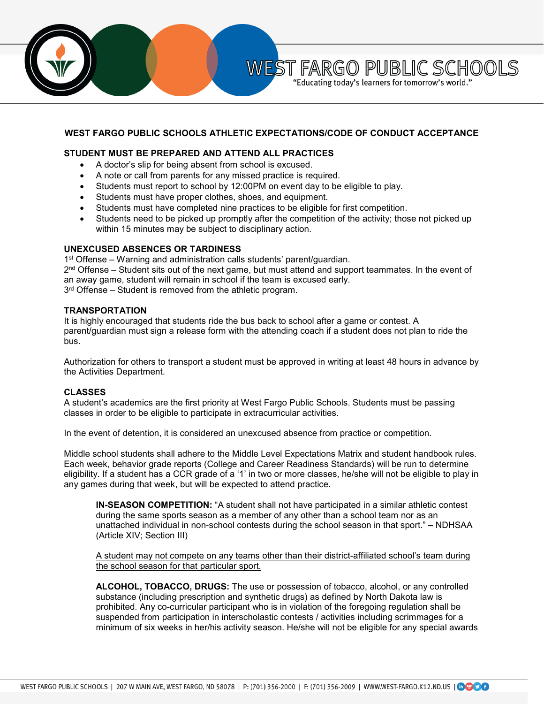

## **WEST FARGO PUBLIC SCHOOLS ATHLETIC EXPECTATIONS/CODE OF CONDUCT ACCEPTANCE**

# **STUDENT MUST BE PREPARED AND ATTEND ALL PRACTICES**

- A doctor's slip for being absent from school is excused.
- A note or call from parents for any missed practice is required.
- Students must report to school by 12:00PM on event day to be eligible to play.
- Students must have proper clothes, shoes, and equipment.
- Students must have completed nine practices to be eligible for first competition.
- Students need to be picked up promptly after the competition of the activity; those not picked up within 15 minutes may be subject to disciplinary action.

### **UNEXCUSED ABSENCES OR TARDINESS**

1<sup>st</sup> Offense – Warning and administration calls students' parent/guardian.  $2<sup>nd</sup>$  Offense – Student sits out of the next game, but must attend and support teammates. In the event of an away game, student will remain in school if the team is excused early. 3<sup>rd</sup> Offense – Student is removed from the athletic program.

### **TRANSPORTATION**

It is highly encouraged that students ride the bus back to school after a game or contest. A parent/guardian must sign a release form with the attending coach if a student does not plan to ride the bus.

Authorization for others to transport a student must be approved in writing at least 48 hours in advance by the Activities Department.

### **CLASSES**

A student's academics are the first priority at West Fargo Public Schools. Students must be passing classes in order to be eligible to participate in extracurricular activities.

In the event of detention, it is considered an unexcused absence from practice or competition.

Middle school students shall adhere to the Middle Level Expectations Matrix and student handbook rules. Each week, behavior grade reports (College and Career Readiness Standards) will be run to determine eligibility. If a student has a CCR grade of a '1' in two or more classes, he/she will not be eligible to play in any games during that week, but will be expected to attend practice.

**IN-SEASON COMPETITION:** "A student shall not have participated in a similar athletic contest during the same sports season as a member of any other than a school team nor as an unattached individual in non-school contests during the school season in that sport." **–** NDHSAA (Article XIV; Section III)

A student may not compete on any teams other than their district-affiliated school's team during the school season for that particular sport.

**ALCOHOL, TOBACCO, DRUGS:** The use or possession of tobacco, alcohol, or any controlled substance (including prescription and synthetic drugs) as defined by North Dakota law is prohibited. Any co-curricular participant who is in violation of the foregoing regulation shall be suspended from participation in interscholastic contests / activities including scrimmages for a minimum of six weeks in her/his activity season. He/she will not be eligible for any special awards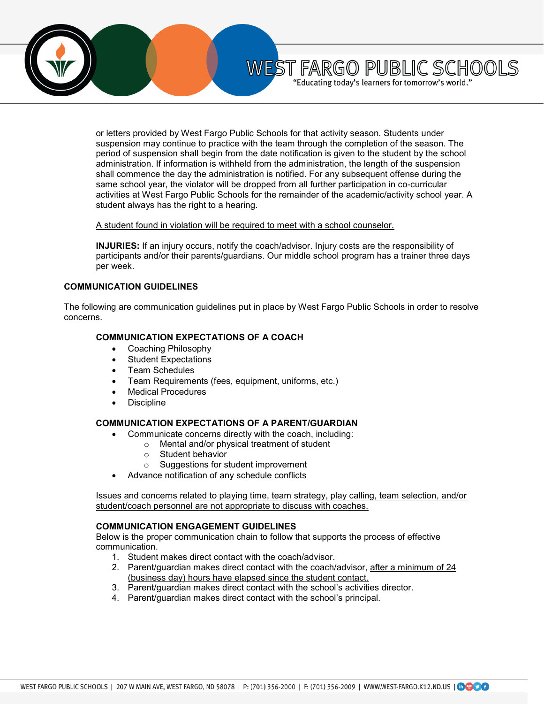

or letters provided by West Fargo Public Schools for that activity season. Students under suspension may continue to practice with the team through the completion of the season. The period of suspension shall begin from the date notification is given to the student by the school administration. If information is withheld from the administration, the length of the suspension shall commence the day the administration is notified. For any subsequent offense during the same school year, the violator will be dropped from all further participation in co-curricular activities at West Fargo Public Schools for the remainder of the academic/activity school year. A student always has the right to a hearing.

WEST FARGO PUBLIC SCHOOLS "Educating today's learners for tomorrow's world."

#### A student found in violation will be required to meet with a school counselor.

**INJURIES:** If an injury occurs, notify the coach/advisor. Injury costs are the responsibility of participants and/or their parents/guardians. Our middle school program has a trainer three days per week.

#### **COMMUNICATION GUIDELINES**

The following are communication guidelines put in place by West Fargo Public Schools in order to resolve concerns.

### **COMMUNICATION EXPECTATIONS OF A COACH**

- Coaching Philosophy
- Student Expectations
- Team Schedules
- Team Requirements (fees, equipment, uniforms, etc.)
- **Medical Procedures**
- **Discipline**

### **COMMUNICATION EXPECTATIONS OF A PARENT/GUARDIAN**

- Communicate concerns directly with the coach, including:
	- o Mental and/or physical treatment of student
	- $\circ$  Student behavior<br> $\circ$  Suggestions for s
	- Suggestions for student improvement
- Advance notification of any schedule conflicts

Issues and concerns related to playing time, team strategy, play calling, team selection, and/or student/coach personnel are not appropriate to discuss with coaches.

#### **COMMUNICATION ENGAGEMENT GUIDELINES**

Below is the proper communication chain to follow that supports the process of effective communication.

- 1. Student makes direct contact with the coach/advisor.
- 2. Parent/guardian makes direct contact with the coach/advisor, after a minimum of 24 (business day) hours have elapsed since the student contact.
- 3. Parent/guardian makes direct contact with the school's activities director.
- 4. Parent/guardian makes direct contact with the school's principal.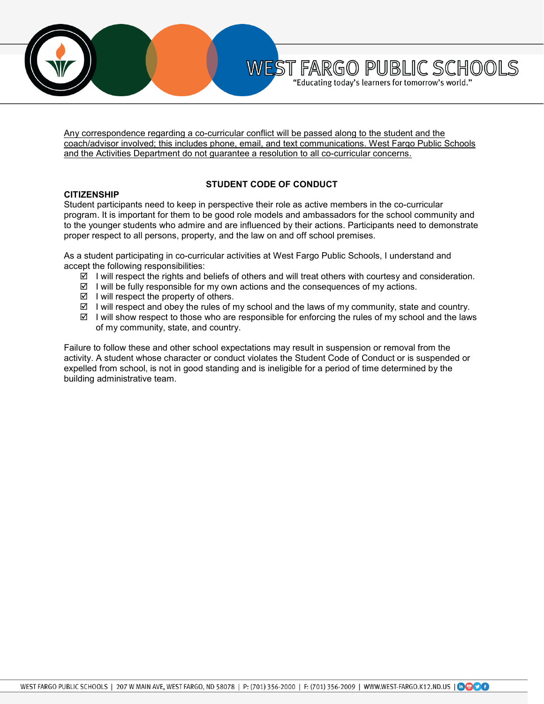

Any correspondence regarding a co-curricular conflict will be passed along to the student and the coach/advisor involved; this includes phone, email, and text communications. West Fargo Public Schools and the Activities Department do not guarantee a resolution to all co-curricular concerns.

WEST FARGO PUBLIC SCHOOLS "Educating today's learners for tomorrow's world."

#### **CITIZENSHIP**

## **STUDENT CODE OF CONDUCT**

Student participants need to keep in perspective their role as active members in the co-curricular program. It is important for them to be good role models and ambassadors for the school community and to the younger students who admire and are influenced by their actions. Participants need to demonstrate proper respect to all persons, property, and the law on and off school premises.

As a student participating in co-curricular activities at West Fargo Public Schools, I understand and accept the following responsibilities:

- $\boxtimes$  I will respect the rights and beliefs of others and will treat others with courtesy and consideration.
- $\boxtimes$  I will be fully responsible for my own actions and the consequences of my actions.
- $\boxtimes$  I will respect the property of others.
- $\boxtimes$  I will respect and obey the rules of my school and the laws of my community, state and country.
- $\boxtimes$  I will show respect to those who are responsible for enforcing the rules of my school and the laws of my community, state, and country.

Failure to follow these and other school expectations may result in suspension or removal from the activity. A student whose character or conduct violates the Student Code of Conduct or is suspended or expelled from school, is not in good standing and is ineligible for a period of time determined by the building administrative team.